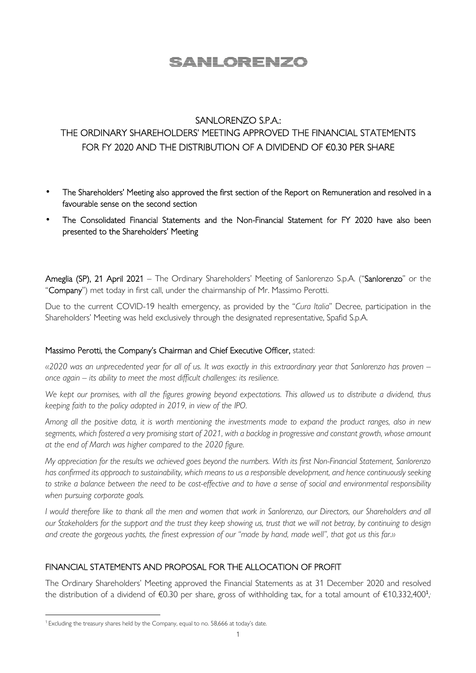# <u>SANLORENZO</u>

#### SANLORENZO S.P.A.:

## THE ORDINARY SHAREHOLDERS' MEETING APPROVED THE FINANCIAL STATEMENTS FOR FY 2020 AND THE DISTRIBUTION OF A DIVIDEND OF €0.30 PER SHARE

- The Shareholders' Meeting also approved the first section of the Report on Remuneration and resolved in a favourable sense on the second section
- The Consolidated Financial Statements and the Non-Financial Statement for FY 2020 have also been presented to the Shareholders' Meeting

Ameglia (SP), 21 April 2021 – The Ordinary Shareholders' Meeting of Sanlorenzo S.p.A. ("Sanlorenzo" or the "Company") met today in first call, under the chairmanship of Mr. Massimo Perotti.

Due to the current COVID-19 health emergency, as provided by the "*Cura Italia*" Decree, participation in the Shareholders' Meeting was held exclusively through the designated representative, Spafid S.p.A.

#### Massimo Perotti, the Company's Chairman and Chief Executive Officer, stated:

*«2020 was an unprecedented year for all of us. It was exactly in this extraordinary year that Sanlorenzo has proven – once again – its ability to meet the most difficult challenges: its resilience.* 

*We kept our promises, with all the figures growing beyond expectations. This allowed us to distribute a dividend, thus keeping faith to the policy adopted in 2019, in view of the IPO.* 

*Among all the positive data, it is worth mentioning the investments made to expand the product ranges, also in new segments, which fostered a very promising start of 2021, with a backlog in progressive and constant growth, whose amount at the end of March was higher compared to the 2020 figure.* 

*My appreciation for the results we achieved goes beyond the numbers. With its first Non-Financial Statement, Sanlorenzo has confirmed its approach to sustainability, which means to us a responsible development, and hence continuously seeking to strike a balance between the need to be cost-effective and to have a sense of social and environmental responsibility when pursuing corporate goals.* 

*I* would therefore like to thank all the men and women that work in Sanlorenzo, our Directors, our Shareholders and all *our Stakeholders for the support and the trust they keep showing us, trust that we will not betray, by continuing to design and create the gorgeous yachts, the finest expression of our "made by hand, made well", that got us this far.»* 

### FINANCIAL STATEMENTS AND PROPOSAL FOR THE ALLOCATION OF PROFIT

The Ordinary Shareholders' Meeting approved the Financial Statements as at 31 December 2020 and resolved the distribution of a dividend of  $\epsilon$ 0.30 per share, gross of withholding tax, for a total amount of  $\epsilon$ 10,332,400<sup>1</sup>, ,

<sup>&</sup>lt;sup>1</sup> Excluding the treasury shares held by the Company, equal to no. 58,666 at today's date.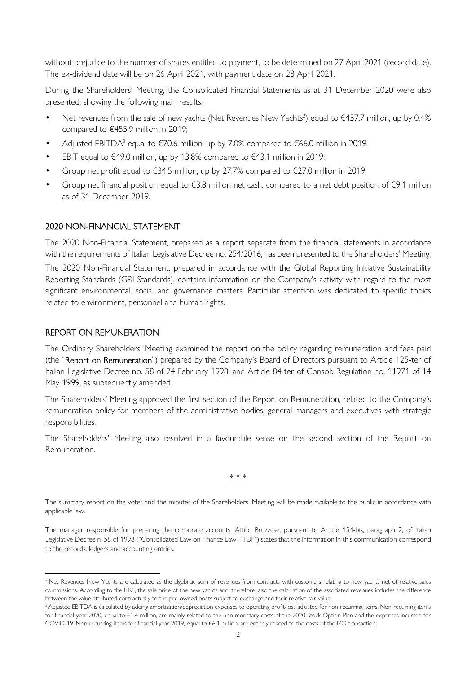without prejudice to the number of shares entitled to payment, to be determined on 27 April 2021 (record date). The ex-dividend date will be on 26 April 2021, with payment date on 28 April 2021.

During the Shareholders' Meeting, the Consolidated Financial Statements as at 31 December 2020 were also presented, showing the following main results:

- Net revenues from the sale of new yachts (Net Revenues New Yachts<sup>2</sup>) equal to  $€457.7$  million, up by 0.4% compared to €455.9 million in 2019;
- Adjusted EBITDA<sup>3</sup> equal to  $\epsilon$ 70.6 million, up by 7.0% compared to  $\epsilon$ 66.0 million in 2019;
- EBIT equal to €49.0 million, up by 13.8% compared to €43.1 million in 2019;
- Group net profit equal to  $\epsilon$ 34.5 million, up by 27.7% compared to  $\epsilon$ 27.0 million in 2019;
- Group net financial position equal to €3.8 million net cash, compared to a net debt position of €9.1 million as of 31 December 2019.

#### 2020 NON-FINANCIAL STATEMENT

The 2020 Non-Financial Statement, prepared as a report separate from the financial statements in accordance with the requirements of Italian Legislative Decree no. 254/2016, has been presented to the Shareholders' Meeting.

The 2020 Non-Financial Statement, prepared in accordance with the Global Reporting Initiative Sustainability Reporting Standards (GRI Standards), contains information on the Company's activity with regard to the most significant environmental, social and governance matters. Particular attention was dedicated to specific topics related to environment, personnel and human rights.

#### REPORT ON REMUNERATION

The Ordinary Shareholders' Meeting examined the report on the policy regarding remuneration and fees paid (the "Report on Remuneration") prepared by the Company's Board of Directors pursuant to Article 125-ter of Italian Legislative Decree no. 58 of 24 February 1998, and Article 84-ter of Consob Regulation no. 11971 of 14 May 1999, as subsequently amended.

The Shareholders' Meeting approved the first section of the Report on Remuneration, related to the Company's remuneration policy for members of the administrative bodies, general managers and executives with strategic responsibilities.

The Shareholders' Meeting also resolved in a favourable sense on the second section of the Report on Remuneration.

\* \* \*

The summary report on the votes and the minutes of the Shareholders' Meeting will be made available to the public in accordance with applicable law.

The manager responsible for preparing the corporate accounts, Attilio Bruzzese, pursuant to Article 154-bis, paragraph 2, of Italian Legislative Decree n. 58 of 1998 ("Consolidated Law on Finance Law - TUF") states that the information in this communication correspond to the records, ledgers and accounting entries.

<sup>&</sup>lt;sup>2</sup> Net Revenues New Yachts are calculated as the algebraic sum of revenues from contracts with customers relating to new yachts net of relative sales commissions. According to the IFRS, the sale price of the new yachts and, therefore, also the calculation of the associated revenues includes the difference between the value attributed contractually to the pre-owned boats subject to exchange and their relative fair value.

<sup>&</sup>lt;sup>3</sup> Adjusted EBITDA is calculated by adding amortisation/depreciation expenses to operating profit/loss adjusted for non-recurring items. Non-recurring items for financial year 2020, equal to €1.4 million, are mainly related to the non-monetary costs of the 2020 Stock Option Plan and the expenses incurred for COVID-19. Non-recurring items for financial year 2019, equal to €6.1 million, are entirely related to the costs of the IPO transaction.